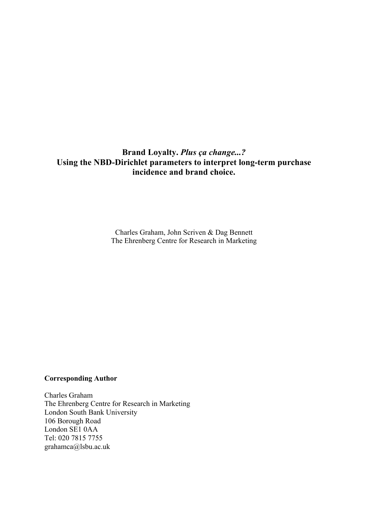# **Brand Loyalty.** *Plus ça change...?* **Using the NBD-Dirichlet parameters to interpret long-term purchase incidence and brand choice.**

Charles Graham, John Scriven & Dag Bennett The Ehrenberg Centre for Research in Marketing

### **Corresponding Author**

Charles Graham The Ehrenberg Centre for Research in Marketing London South Bank University 106 Borough Road London SE1 0AA Tel: 020 7815 7755 grahamca@lsbu.ac.uk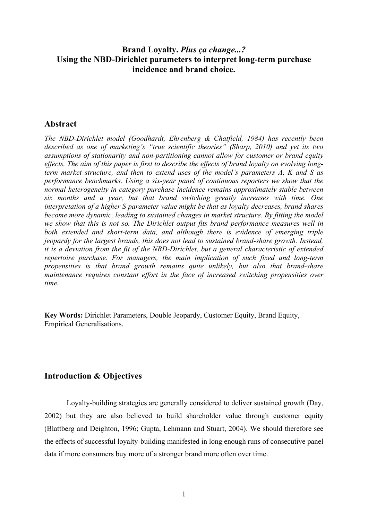# **Brand Loyalty.** *Plus ça change...?* **Using the NBD-Dirichlet parameters to interpret long-term purchase incidence and brand choice.**

# **Abstract**

*The NBD-Dirichlet model (Goodhardt, Ehrenberg & Chatfield, 1984) has recently been described as one of marketing's "true scientific theories" (Sharp, 2010) and yet its two assumptions of stationarity and non-partitioning cannot allow for customer or brand equity effects. The aim of this paper is first to describe the effects of brand loyalty on evolving longterm market structure, and then to extend uses of the model's parameters A, K and S as performance benchmarks. Using a six-year panel of continuous reporters we show that the normal heterogeneity in category purchase incidence remains approximately stable between six months and a year, but that brand switching greatly increases with time. One interpretation of a higher S parameter value might be that as loyalty decreases, brand shares become more dynamic, leading to sustained changes in market structure. By fitting the model we show that this is not so. The Dirichlet output fits brand performance measures well in both extended and short-term data, and although there is evidence of emerging triple jeopardy for the largest brands, this does not lead to sustained brand-share growth. Instead, it is a deviation from the fit of the NBD-Dirichlet, but a general characteristic of extended repertoire purchase. For managers, the main implication of such fixed and long-term propensities is that brand growth remains quite unlikely, but also that brand-share maintenance requires constant effort in the face of increased switching propensities over time.*

**Key Words:** Dirichlet Parameters, Double Jeopardy, Customer Equity, Brand Equity, Empirical Generalisations.

# **Introduction & Objectives**

Loyalty-building strategies are generally considered to deliver sustained growth (Day, 2002) but they are also believed to build shareholder value through customer equity (Blattberg and Deighton, 1996; Gupta, Lehmann and Stuart, 2004). We should therefore see the effects of successful loyalty-building manifested in long enough runs of consecutive panel data if more consumers buy more of a stronger brand more often over time.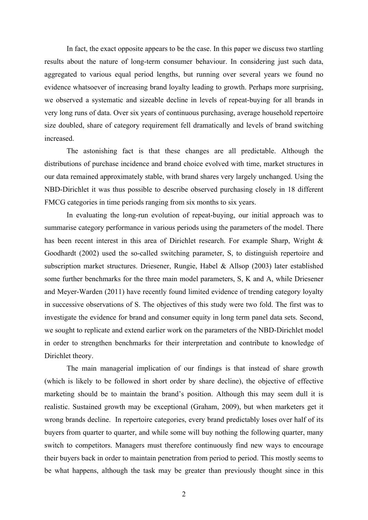In fact, the exact opposite appears to be the case. In this paper we discuss two startling results about the nature of long-term consumer behaviour. In considering just such data, aggregated to various equal period lengths, but running over several years we found no evidence whatsoever of increasing brand loyalty leading to growth. Perhaps more surprising, we observed a systematic and sizeable decline in levels of repeat-buying for all brands in very long runs of data. Over six years of continuous purchasing, average household repertoire size doubled, share of category requirement fell dramatically and levels of brand switching increased.

The astonishing fact is that these changes are all predictable. Although the distributions of purchase incidence and brand choice evolved with time, market structures in our data remained approximately stable, with brand shares very largely unchanged. Using the NBD-Dirichlet it was thus possible to describe observed purchasing closely in 18 different FMCG categories in time periods ranging from six months to six years.

In evaluating the long-run evolution of repeat-buying, our initial approach was to summarise category performance in various periods using the parameters of the model. There has been recent interest in this area of Dirichlet research. For example Sharp, Wright & Goodhardt (2002) used the so-called switching parameter, S, to distinguish repertoire and subscription market structures. Driesener, Rungie, Habel & Allsop (2003) later established some further benchmarks for the three main model parameters, S, K and A, while Driesener and Meyer-Warden (2011) have recently found limited evidence of trending category loyalty in successive observations of S. The objectives of this study were two fold. The first was to investigate the evidence for brand and consumer equity in long term panel data sets. Second, we sought to replicate and extend earlier work on the parameters of the NBD-Dirichlet model in order to strengthen benchmarks for their interpretation and contribute to knowledge of Dirichlet theory.

The main managerial implication of our findings is that instead of share growth (which is likely to be followed in short order by share decline), the objective of effective marketing should be to maintain the brand's position. Although this may seem dull it is realistic. Sustained growth may be exceptional (Graham, 2009), but when marketers get it wrong brands decline. In repertoire categories, every brand predictably loses over half of its buyers from quarter to quarter, and while some will buy nothing the following quarter, many switch to competitors. Managers must therefore continuously find new ways to encourage their buyers back in order to maintain penetration from period to period. This mostly seems to be what happens, although the task may be greater than previously thought since in this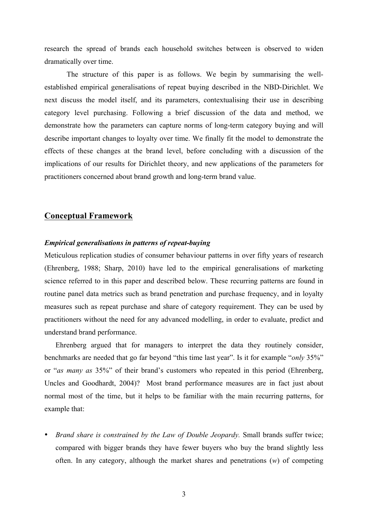research the spread of brands each household switches between is observed to widen dramatically over time.

The structure of this paper is as follows. We begin by summarising the wellestablished empirical generalisations of repeat buying described in the NBD-Dirichlet. We next discuss the model itself, and its parameters, contextualising their use in describing category level purchasing. Following a brief discussion of the data and method, we demonstrate how the parameters can capture norms of long-term category buying and will describe important changes to loyalty over time. We finally fit the model to demonstrate the effects of these changes at the brand level, before concluding with a discussion of the implications of our results for Dirichlet theory, and new applications of the parameters for practitioners concerned about brand growth and long-term brand value.

## **Conceptual Framework**

### *Empirical generalisations in patterns of repeat-buying*

Meticulous replication studies of consumer behaviour patterns in over fifty years of research (Ehrenberg, 1988; Sharp, 2010) have led to the empirical generalisations of marketing science referred to in this paper and described below. These recurring patterns are found in routine panel data metrics such as brand penetration and purchase frequency, and in loyalty measures such as repeat purchase and share of category requirement. They can be used by practitioners without the need for any advanced modelling, in order to evaluate, predict and understand brand performance.

Ehrenberg argued that for managers to interpret the data they routinely consider, benchmarks are needed that go far beyond "this time last year". Is it for example "*only* 35%" or "*as many as* 35%" of their brand's customers who repeated in this period (Ehrenberg, Uncles and Goodhardt, 2004)? Most brand performance measures are in fact just about normal most of the time, but it helps to be familiar with the main recurring patterns, for example that:

• *Brand share is constrained by the Law of Double Jeopardy.* Small brands suffer twice; compared with bigger brands they have fewer buyers who buy the brand slightly less often. In any category, although the market shares and penetrations (*w*) of competing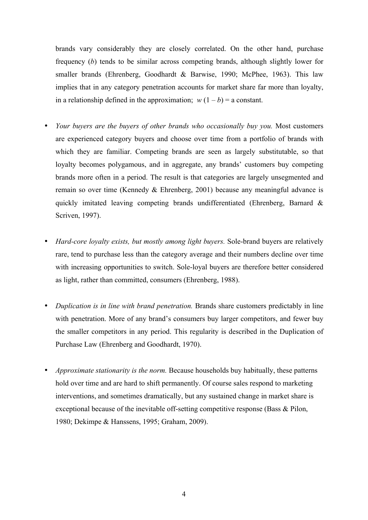brands vary considerably they are closely correlated. On the other hand, purchase frequency (*b*) tends to be similar across competing brands, although slightly lower for smaller brands (Ehrenberg, Goodhardt & Barwise, 1990; McPhee, 1963). This law implies that in any category penetration accounts for market share far more than loyalty, in a relationship defined in the approximation;  $w(1-b) = a$  constant.

- *Your buyers are the buyers of other brands who occasionally buy you.* Most customers are experienced category buyers and choose over time from a portfolio of brands with which they are familiar. Competing brands are seen as largely substitutable, so that loyalty becomes polygamous, and in aggregate, any brands' customers buy competing brands more often in a period. The result is that categories are largely unsegmented and remain so over time (Kennedy & Ehrenberg, 2001) because any meaningful advance is quickly imitated leaving competing brands undifferentiated (Ehrenberg, Barnard & Scriven, 1997).
- *Hard-core loyalty exists, but mostly among light buyers.* Sole-brand buyers are relatively rare, tend to purchase less than the category average and their numbers decline over time with increasing opportunities to switch. Sole-loyal buyers are therefore better considered as light, rather than committed, consumers (Ehrenberg, 1988).
- *Duplication is in line with brand penetration.* Brands share customers predictably in line with penetration. More of any brand's consumers buy larger competitors, and fewer buy the smaller competitors in any period. This regularity is described in the Duplication of Purchase Law (Ehrenberg and Goodhardt, 1970).
- *Approximate stationarity is the norm.* Because households buy habitually, these patterns hold over time and are hard to shift permanently. Of course sales respond to marketing interventions, and sometimes dramatically, but any sustained change in market share is exceptional because of the inevitable off-setting competitive response (Bass & Pilon, 1980; Dekimpe & Hanssens, 1995; Graham, 2009).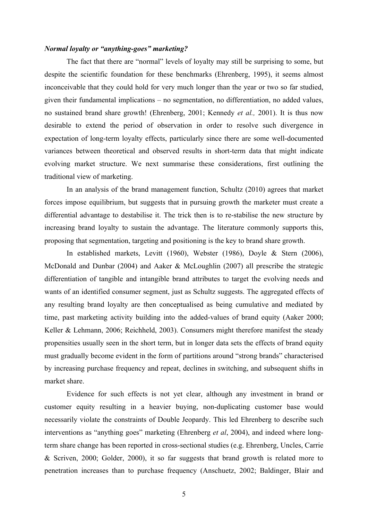#### *Normal loyalty or "anything-goes" marketing?*

The fact that there are "normal" levels of loyalty may still be surprising to some, but despite the scientific foundation for these benchmarks (Ehrenberg, 1995), it seems almost inconceivable that they could hold for very much longer than the year or two so far studied, given their fundamental implications – no segmentation, no differentiation, no added values, no sustained brand share growth! (Ehrenberg, 2001; Kennedy *et al.,* 2001). It is thus now desirable to extend the period of observation in order to resolve such divergence in expectation of long-term loyalty effects, particularly since there are some well-documented variances between theoretical and observed results in short-term data that might indicate evolving market structure. We next summarise these considerations, first outlining the traditional view of marketing.

In an analysis of the brand management function, Schultz (2010) agrees that market forces impose equilibrium, but suggests that in pursuing growth the marketer must create a differential advantage to destabilise it. The trick then is to re-stabilise the new structure by increasing brand loyalty to sustain the advantage. The literature commonly supports this, proposing that segmentation, targeting and positioning is the key to brand share growth.

In established markets, Levitt (1960), Webster (1986), Doyle & Stern (2006), McDonald and Dunbar (2004) and Aaker & McLoughlin (2007) all prescribe the strategic differentiation of tangible and intangible brand attributes to target the evolving needs and wants of an identified consumer segment, just as Schultz suggests. The aggregated effects of any resulting brand loyalty are then conceptualised as being cumulative and mediated by time, past marketing activity building into the added-values of brand equity (Aaker 2000; Keller & Lehmann, 2006; Reichheld, 2003). Consumers might therefore manifest the steady propensities usually seen in the short term, but in longer data sets the effects of brand equity must gradually become evident in the form of partitions around "strong brands" characterised by increasing purchase frequency and repeat, declines in switching, and subsequent shifts in market share.

Evidence for such effects is not yet clear, although any investment in brand or customer equity resulting in a heavier buying, non-duplicating customer base would necessarily violate the constraints of Double Jeopardy. This led Ehrenberg to describe such interventions as "anything goes" marketing (Ehrenberg *et al*, 2004), and indeed where longterm share change has been reported in cross-sectional studies (e.g. Ehrenberg, Uncles, Carrie & Scriven, 2000; Golder, 2000), it so far suggests that brand growth is related more to penetration increases than to purchase frequency (Anschuetz, 2002; Baldinger, Blair and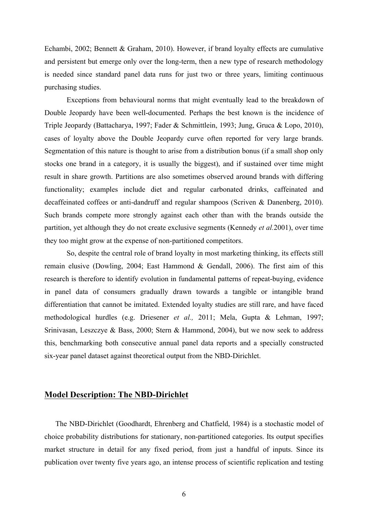Echambi, 2002; Bennett & Graham, 2010). However, if brand loyalty effects are cumulative and persistent but emerge only over the long-term, then a new type of research methodology is needed since standard panel data runs for just two or three years, limiting continuous purchasing studies.

Exceptions from behavioural norms that might eventually lead to the breakdown of Double Jeopardy have been well-documented. Perhaps the best known is the incidence of Triple Jeopardy (Battacharya, 1997; Fader & Schmittlein, 1993; Jung, Gruca & Lopo, 2010), cases of loyalty above the Double Jeopardy curve often reported for very large brands. Segmentation of this nature is thought to arise from a distribution bonus (if a small shop only stocks one brand in a category, it is usually the biggest), and if sustained over time might result in share growth. Partitions are also sometimes observed around brands with differing functionality; examples include diet and regular carbonated drinks, caffeinated and decaffeinated coffees or anti-dandruff and regular shampoos (Scriven & Danenberg, 2010). Such brands compete more strongly against each other than with the brands outside the partition, yet although they do not create exclusive segments (Kennedy *et al.*2001), over time they too might grow at the expense of non-partitioned competitors.

So, despite the central role of brand loyalty in most marketing thinking, its effects still remain elusive (Dowling, 2004; East Hammond & Gendall, 2006). The first aim of this research is therefore to identify evolution in fundamental patterns of repeat-buying, evidence in panel data of consumers gradually drawn towards a tangible or intangible brand differentiation that cannot be imitated. Extended loyalty studies are still rare, and have faced methodological hurdles (e.g. Driesener *et al.,* 2011; Mela, Gupta & Lehman, 1997; Srinivasan, Leszczye & Bass, 2000; Stern & Hammond, 2004), but we now seek to address this, benchmarking both consecutive annual panel data reports and a specially constructed six-year panel dataset against theoretical output from the NBD-Dirichlet.

## **Model Description: The NBD-Dirichlet**

The NBD-Dirichlet (Goodhardt, Ehrenberg and Chatfield, 1984) is a stochastic model of choice probability distributions for stationary, non-partitioned categories. Its output specifies market structure in detail for any fixed period, from just a handful of inputs. Since its publication over twenty five years ago, an intense process of scientific replication and testing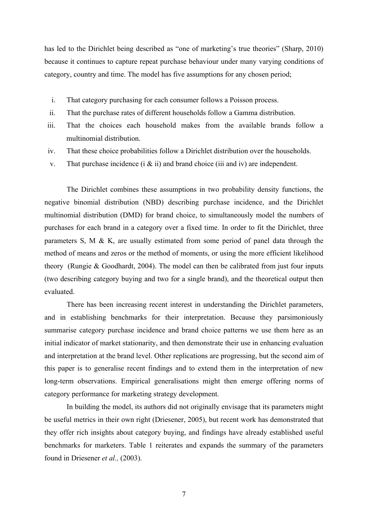has led to the Dirichlet being described as "one of marketing's true theories" (Sharp, 2010) because it continues to capture repeat purchase behaviour under many varying conditions of category, country and time. The model has five assumptions for any chosen period;

- i. That category purchasing for each consumer follows a Poisson process.
- ii. That the purchase rates of different households follow a Gamma distribution.
- iii. That the choices each household makes from the available brands follow a multinomial distribution.
- iv. That these choice probabilities follow a Dirichlet distribution over the households.
- v. That purchase incidence  $(i \& i)$  and brand choice (iii and iv) are independent.

The Dirichlet combines these assumptions in two probability density functions, the negative binomial distribution (NBD) describing purchase incidence, and the Dirichlet multinomial distribution (DMD) for brand choice, to simultaneously model the numbers of purchases for each brand in a category over a fixed time. In order to fit the Dirichlet, three parameters S, M & K, are usually estimated from some period of panel data through the method of means and zeros or the method of moments, or using the more efficient likelihood theory (Rungie & Goodhardt, 2004). The model can then be calibrated from just four inputs (two describing category buying and two for a single brand), and the theoretical output then evaluated.

There has been increasing recent interest in understanding the Dirichlet parameters, and in establishing benchmarks for their interpretation. Because they parsimoniously summarise category purchase incidence and brand choice patterns we use them here as an initial indicator of market stationarity, and then demonstrate their use in enhancing evaluation and interpretation at the brand level. Other replications are progressing, but the second aim of this paper is to generalise recent findings and to extend them in the interpretation of new long-term observations. Empirical generalisations might then emerge offering norms of category performance for marketing strategy development.

In building the model, its authors did not originally envisage that its parameters might be useful metrics in their own right (Driesener, 2005), but recent work has demonstrated that they offer rich insights about category buying, and findings have already established useful benchmarks for marketers. Table 1 reiterates and expands the summary of the parameters found in Driesener *et al.,* (2003).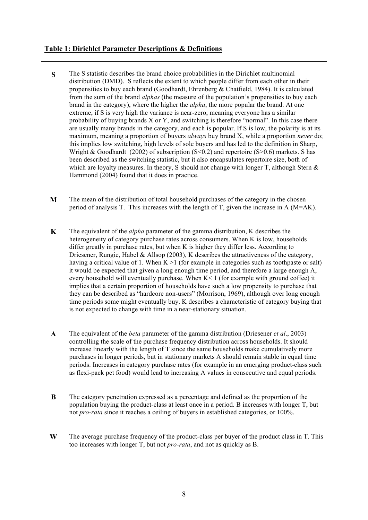### **Table 1: Dirichlet Parameter Descriptions & Definitions**

- **S** The S statistic describes the brand choice probabilities in the Dirichlet multinomial distribution (DMD). S reflects the extent to which people differ from each other in their propensities to buy each brand (Goodhardt, Ehrenberg & Chatfield, 1984). It is calculated from the sum of the brand *alphas* (the measure of the population's propensities to buy each brand in the category), where the higher the *alpha*, the more popular the brand. At one extreme, if S is very high the variance is near-zero, meaning everyone has a similar probability of buying brands X or Y, and switching is therefore "normal". In this case there are usually many brands in the category, and each is popular. If S is low, the polarity is at its maximum, meaning a proportion of buyers *always* buy brand X, while a proportion *never* do; this implies low switching, high levels of sole buyers and has led to the definition in Sharp, Wright & Goodhardt (2002) of subscription  $(S<0.2)$  and repertoire  $(S>0.6)$  markets. S has been described as the switching statistic, but it also encapsulates repertoire size, both of which are loyalty measures. In theory, S should not change with longer T, although Stern  $\&$ Hammond (2004) found that it does in practice.
- **M** The mean of the distribution of total household purchases of the category in the chosen period of analysis T. This increases with the length of T, given the increase in A (M=AK).
- **K** The equivalent of the *alpha* parameter of the gamma distribution, K describes the heterogeneity of category purchase rates across consumers. When K is low, households differ greatly in purchase rates, but when K is higher they differ less. According to Driesener, Rungie, Habel & Allsop (2003), K describes the attractiveness of the category, having a critical value of 1. When  $K > 1$  (for example in categories such as toothpaste or salt) it would be expected that given a long enough time period, and therefore a large enough A, every household will eventually purchase. When K< 1 (for example with ground coffee) it implies that a certain proportion of households have such a low propensity to purchase that they can be described as "hardcore non-users" (Morrison, 1969), although over long enough time periods some might eventually buy. K describes a characteristic of category buying that is not expected to change with time in a near-stationary situation.
- **A** The equivalent of the *beta* parameter of the gamma distribution (Driesener *et al*., 2003) controlling the scale of the purchase frequency distribution across households. It should increase linearly with the length of T since the same households make cumulatively more purchases in longer periods, but in stationary markets A should remain stable in equal time periods. Increases in category purchase rates (for example in an emerging product-class such as flexi-pack pet food) would lead to increasing A values in consecutive and equal periods.
- **B** The category penetration expressed as a percentage and defined as the proportion of the population buying the product-class at least once in a period. B increases with longer T, but not *pro-rata* since it reaches a ceiling of buyers in established categories, or 100%.
- **W** The average purchase frequency of the product-class per buyer of the product class in T. This too increases with longer T, but not *pro-rata*, and not as quickly as B.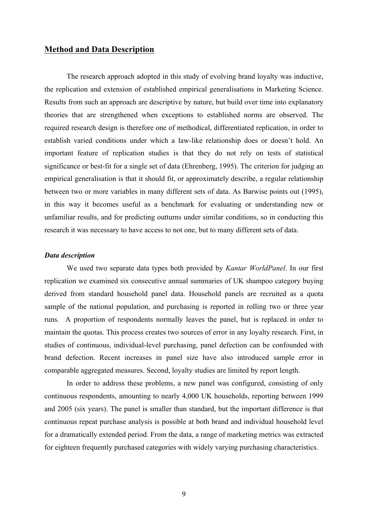# **Method and Data Description**

The research approach adopted in this study of evolving brand loyalty was inductive, the replication and extension of established empirical generalisations in Marketing Science. Results from such an approach are descriptive by nature, but build over time into explanatory theories that are strengthened when exceptions to established norms are observed. The required research design is therefore one of methodical, differentiated replication, in order to establish varied conditions under which a law-like relationship does or doesn't hold. An important feature of replication studies is that they do not rely on tests of statistical significance or best-fit for a single set of data (Ehrenberg, 1995). The criterion for judging an empirical generalisation is that it should fit, or approximately describe, a regular relationship between two or more variables in many different sets of data. As Barwise points out (1995), in this way it becomes useful as a benchmark for evaluating or understanding new or unfamiliar results, and for predicting outturns under similar conditions, so in conducting this research it was necessary to have access to not one, but to many different sets of data.

#### *Data description*

We used two separate data types both provided by *Kantar WorldPanel*. In our first replication we examined six consecutive annual summaries of UK shampoo category buying derived from standard household panel data. Household panels are recruited as a quota sample of the national population, and purchasing is reported in rolling two or three year runs. A proportion of respondents normally leaves the panel, but is replaced in order to maintain the quotas. This process creates two sources of error in any loyalty research. First, in studies of continuous, individual-level purchasing, panel defection can be confounded with brand defection. Recent increases in panel size have also introduced sample error in comparable aggregated measures. Second, loyalty studies are limited by report length.

In order to address these problems, a new panel was configured, consisting of only continuous respondents, amounting to nearly 4,000 UK households, reporting between 1999 and 2005 (six years). The panel is smaller than standard, but the important difference is that continuous repeat purchase analysis is possible at both brand and individual household level for a dramatically extended period. From the data, a range of marketing metrics was extracted for eighteen frequently purchased categories with widely varying purchasing characteristics.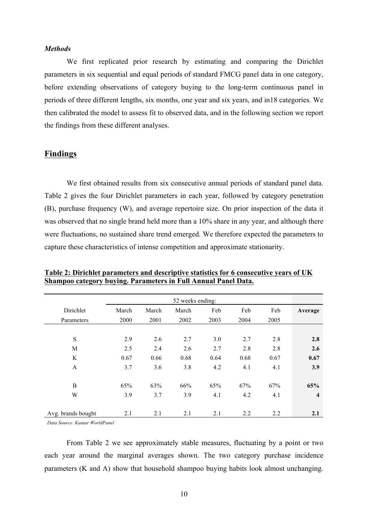#### *Methods*

We first replicated prior research by estimating and comparing the Dirichlet parameters in six sequential and equal periods of standard FMCG panel data in one category, before extending observations of category buying to the long-term continuous panel in periods of three different lengths, six months, one year and six years, and in18 categories. We then calibrated the model to assess fit to observed data, and in the following section we report the findings from these different analyses.

### **Findings**

We first obtained results from six consecutive annual periods of standard panel data. Table 2 gives the four Dirichlet parameters in each year, followed by category penetration (B), purchase frequency (W), and average repertoire size. On prior inspection of the data it was observed that no single brand held more than a 10% share in any year, and although there were fluctuations, no sustained share trend emerged. We therefore expected the parameters to capture these characteristics of intense competition and approximate stationarity.

|                    | 52 weeks ending: |       |       |      |      |      |                |
|--------------------|------------------|-------|-------|------|------|------|----------------|
| Dirichlet          | March            | March | March | Feb  | Feb  | Feb  | Average        |
| Parameters         | 2000             | 2001  | 2002  | 2003 | 2004 | 2005 |                |
|                    |                  |       |       |      |      |      |                |
| $\mathbf S$        | 2.9              | 2.6   | 2.7   | 3.0  | 2.7  | 2.8  | 2.8            |
| M                  | 2.5              | 2.4   | 2.6   | 2.7  | 2.8  | 2.8  | 2.6            |
| K                  | 0.67             | 0.66  | 0.68  | 0.64 | 0.68 | 0.67 | 0.67           |
| $\mathbf{A}$       | 3.7              | 3.6   | 3.8   | 4.2  | 4.1  | 4.1  | 3.9            |
|                    |                  |       |       |      |      |      |                |
| B                  | 65%              | 63%   | 66%   | 65%  | 67%  | 67%  | 65%            |
| W                  | 3.9              | 3.7   | 3.9   | 4.1  | 4.2  | 4.1  | $\overline{4}$ |
|                    |                  |       |       |      |      |      |                |
| Avg. brands bought | 2.1              | 2.1   | 2.1   | 2.1  | 2.2  | 2.2  | 2.1            |

**Table 2: Dirichlet parameters and descriptive statistics for 6 consecutive years of UK Shampoo category buying. Parameters in Full Annual Panel Data.**

*Data Source: Kantar WorldPanel*

From Table 2 we see approximately stable measures, fluctuating by a point or two each year around the marginal averages shown. The two category purchase incidence parameters (K and A) show that household shampoo buying habits look almost unchanging.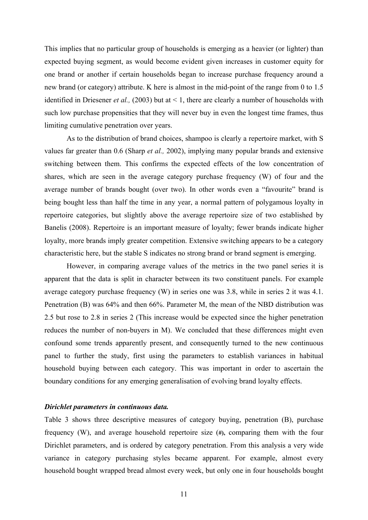This implies that no particular group of households is emerging as a heavier (or lighter) than expected buying segment, as would become evident given increases in customer equity for one brand or another if certain households began to increase purchase frequency around a new brand (or category) attribute. K here is almost in the mid-point of the range from 0 to 1.5 identified in Driesener *et al.,* (2003) but at < 1, there are clearly a number of households with such low purchase propensities that they will never buy in even the longest time frames, thus limiting cumulative penetration over years.

As to the distribution of brand choices, shampoo is clearly a repertoire market, with S values far greater than 0.6 (Sharp *et al.,* 2002), implying many popular brands and extensive switching between them. This confirms the expected effects of the low concentration of shares, which are seen in the average category purchase frequency (W) of four and the average number of brands bought (over two). In other words even a "favourite" brand is being bought less than half the time in any year, a normal pattern of polygamous loyalty in repertoire categories, but slightly above the average repertoire size of two established by Banelis (2008). Repertoire is an important measure of loyalty; fewer brands indicate higher loyalty, more brands imply greater competition. Extensive switching appears to be a category characteristic here, but the stable S indicates no strong brand or brand segment is emerging.

However, in comparing average values of the metrics in the two panel series it is apparent that the data is split in character between its two constituent panels. For example average category purchase frequency (W) in series one was 3.8, while in series 2 it was 4.1. Penetration (B) was 64% and then 66%. Parameter M, the mean of the NBD distribution was 2.5 but rose to 2.8 in series 2 (This increase would be expected since the higher penetration reduces the number of non-buyers in M). We concluded that these differences might even confound some trends apparently present, and consequently turned to the new continuous panel to further the study, first using the parameters to establish variances in habitual household buying between each category. This was important in order to ascertain the boundary conditions for any emerging generalisation of evolving brand loyalty effects.

#### *Dirichlet parameters in continuous data.*

Table 3 shows three descriptive measures of category buying, penetration (B), purchase frequency (W), and average household repertoire size (**#),** comparing them with the four Dirichlet parameters, and is ordered by category penetration. From this analysis a very wide variance in category purchasing styles became apparent. For example, almost every household bought wrapped bread almost every week, but only one in four households bought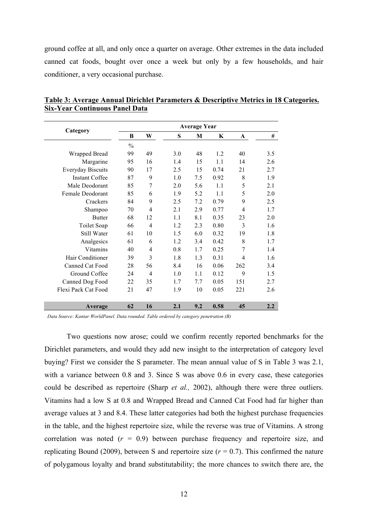ground coffee at all, and only once a quarter on average. Other extremes in the data included canned cat foods, bought over once a week but only by a few households, and hair conditioner, a very occasional purchase.

|                          | <b>Average Year</b> |                |     |     |      |                |     |  |  |
|--------------------------|---------------------|----------------|-----|-----|------|----------------|-----|--|--|
| Category                 | B                   | W              | S   | M   | K    | A              | #   |  |  |
|                          | $\frac{0}{0}$       |                |     |     |      |                |     |  |  |
| Wrapped Bread            | 99                  | 49             | 3.0 | 48  | 1.2  | 40             | 3.5 |  |  |
| Margarine                | 95                  | 16             | 1.4 | 15  | 1.1  | 14             | 2.6 |  |  |
| <b>Everyday Biscuits</b> | 90                  | 17             | 2.5 | 15  | 0.74 | 21             | 2.7 |  |  |
| <b>Instant Coffee</b>    | 87                  | 9              | 1.0 | 7.5 | 0.92 | 8              | 1.9 |  |  |
| Male Deodorant           | 85                  | 7              | 2.0 | 5.6 | 1.1  | 5              | 2.1 |  |  |
| Female Deodorant         | 85                  | 6              | 1.9 | 5.2 | 1.1  | 5              | 2.0 |  |  |
| Crackers                 | 84                  | 9              | 2.5 | 7.2 | 0.79 | 9              | 2.5 |  |  |
| Shampoo                  | 70                  | $\overline{4}$ | 2.1 | 2.9 | 0.77 | $\overline{4}$ | 1.7 |  |  |
| <b>Butter</b>            | 68                  | 12             | 1.1 | 8.1 | 0.35 | 23             | 2.0 |  |  |
| Toilet Soap              | 66                  | 4              | 1.2 | 2.3 | 0.80 | 3              | 1.6 |  |  |
| Still Water              | 61                  | 10             | 1.5 | 6.0 | 0.32 | 19             | 1.8 |  |  |
| Analgesics               | 61                  | 6              | 1.2 | 3.4 | 0.42 | 8              | 1.7 |  |  |
| Vitamins                 | 40                  | 4              | 0.8 | 1.7 | 0.25 | $\overline{7}$ | 1.4 |  |  |
| Hair Conditioner         | 39                  | 3              | 1.8 | 1.3 | 0.31 | $\overline{4}$ | 1.6 |  |  |
| Canned Cat Food          | 28                  | 56             | 8.4 | 16  | 0.06 | 262            | 3.4 |  |  |
| Ground Coffee            | 24                  | $\overline{4}$ | 1.0 | 1.1 | 0.12 | 9              | 1.5 |  |  |
| Canned Dog Food          | 22                  | 35             | 1.7 | 7.7 | 0.05 | 151            | 2.7 |  |  |
| Flexi Pack Cat Food      | 21                  | 47             | 1.9 | 10  | 0.05 | 221            | 2.6 |  |  |
|                          |                     |                |     |     |      |                |     |  |  |
| <b>Average</b>           | 62                  | 16             | 2.1 | 9.2 | 0.58 | 45             | 2.2 |  |  |

**Table 3: Average Annual Dirichlet Parameters & Descriptive Metrics in 18 Categories. Six-Year Continuous Panel Data**

*Data Source: Kantar WorldPanel. Data rounded. Table ordered by category penetration (B)*

Two questions now arose; could we confirm recently reported benchmarks for the Dirichlet parameters, and would they add new insight to the interpretation of category level buying? First we consider the S parameter. The mean annual value of S in Table 3 was 2.1, with a variance between 0.8 and 3. Since S was above 0.6 in every case, these categories could be described as repertoire (Sharp *et al.,* 2002), although there were three outliers. Vitamins had a low S at 0.8 and Wrapped Bread and Canned Cat Food had far higher than average values at 3 and 8.4. These latter categories had both the highest purchase frequencies in the table, and the highest repertoire size, while the reverse was true of Vitamins. A strong correlation was noted  $(r = 0.9)$  between purchase frequency and repertoire size, and replicating Bound (2009), between S and repertoire size  $(r = 0.7)$ . This confirmed the nature of polygamous loyalty and brand substitutability; the more chances to switch there are, the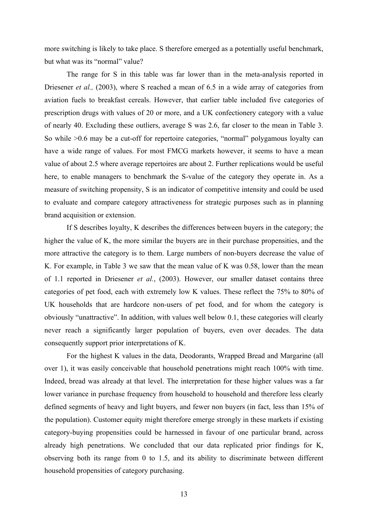more switching is likely to take place. S therefore emerged as a potentially useful benchmark, but what was its "normal" value?

The range for S in this table was far lower than in the meta-analysis reported in Driesener *et al.*, (2003), where S reached a mean of 6.5 in a wide array of categories from aviation fuels to breakfast cereals. However, that earlier table included five categories of prescription drugs with values of 20 or more, and a UK confectionery category with a value of nearly 40. Excluding these outliers, average S was 2.6, far closer to the mean in Table 3. So while >0.6 may be a cut-off for repertoire categories, "normal" polygamous loyalty can have a wide range of values. For most FMCG markets however, it seems to have a mean value of about 2.5 where average repertoires are about 2. Further replications would be useful here, to enable managers to benchmark the S-value of the category they operate in. As a measure of switching propensity, S is an indicator of competitive intensity and could be used to evaluate and compare category attractiveness for strategic purposes such as in planning brand acquisition or extension.

If S describes loyalty, K describes the differences between buyers in the category; the higher the value of K, the more similar the buyers are in their purchase propensities, and the more attractive the category is to them. Large numbers of non-buyers decrease the value of K. For example, in Table 3 we saw that the mean value of K was 0.58, lower than the mean of 1.1 reported in Driesener *et al.*, (2003). However, our smaller dataset contains three categories of pet food, each with extremely low K values. These reflect the 75% to 80% of UK households that are hardcore non-users of pet food, and for whom the category is obviously "unattractive". In addition, with values well below 0.1, these categories will clearly never reach a significantly larger population of buyers, even over decades. The data consequently support prior interpretations of K.

For the highest K values in the data, Deodorants, Wrapped Bread and Margarine (all over 1), it was easily conceivable that household penetrations might reach 100% with time. Indeed, bread was already at that level. The interpretation for these higher values was a far lower variance in purchase frequency from household to household and therefore less clearly defined segments of heavy and light buyers, and fewer non buyers (in fact, less than 15% of the population). Customer equity might therefore emerge strongly in these markets if existing category-buying propensities could be harnessed in favour of one particular brand, across already high penetrations. We concluded that our data replicated prior findings for K, observing both its range from 0 to 1.5, and its ability to discriminate between different household propensities of category purchasing.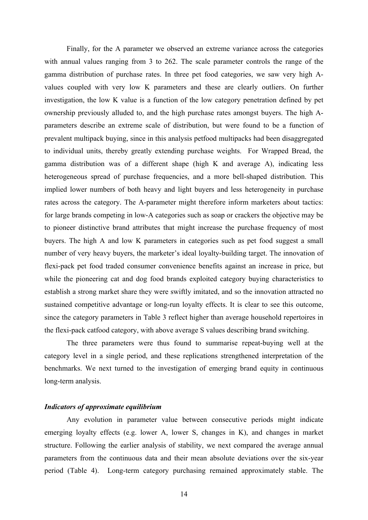Finally, for the A parameter we observed an extreme variance across the categories with annual values ranging from 3 to 262. The scale parameter controls the range of the gamma distribution of purchase rates. In three pet food categories, we saw very high Avalues coupled with very low K parameters and these are clearly outliers. On further investigation, the low K value is a function of the low category penetration defined by pet ownership previously alluded to, and the high purchase rates amongst buyers. The high Aparameters describe an extreme scale of distribution, but were found to be a function of prevalent multipack buying, since in this analysis petfood multipacks had been disaggregated to individual units, thereby greatly extending purchase weights. For Wrapped Bread, the gamma distribution was of a different shape (high K and average A), indicating less heterogeneous spread of purchase frequencies, and a more bell-shaped distribution. This implied lower numbers of both heavy and light buyers and less heterogeneity in purchase rates across the category. The A-parameter might therefore inform marketers about tactics: for large brands competing in low-A categories such as soap or crackers the objective may be to pioneer distinctive brand attributes that might increase the purchase frequency of most buyers. The high A and low K parameters in categories such as pet food suggest a small number of very heavy buyers, the marketer's ideal loyalty-building target. The innovation of flexi-pack pet food traded consumer convenience benefits against an increase in price, but while the pioneering cat and dog food brands exploited category buying characteristics to establish a strong market share they were swiftly imitated, and so the innovation attracted no sustained competitive advantage or long-run loyalty effects. It is clear to see this outcome, since the category parameters in Table 3 reflect higher than average household repertoires in the flexi-pack catfood category, with above average S values describing brand switching.

The three parameters were thus found to summarise repeat-buying well at the category level in a single period, and these replications strengthened interpretation of the benchmarks. We next turned to the investigation of emerging brand equity in continuous long-term analysis.

### *Indicators of approximate equilibrium*

Any evolution in parameter value between consecutive periods might indicate emerging loyalty effects (e.g. lower A, lower S, changes in K), and changes in market structure. Following the earlier analysis of stability, we next compared the average annual parameters from the continuous data and their mean absolute deviations over the six-year period (Table 4). Long-term category purchasing remained approximately stable. The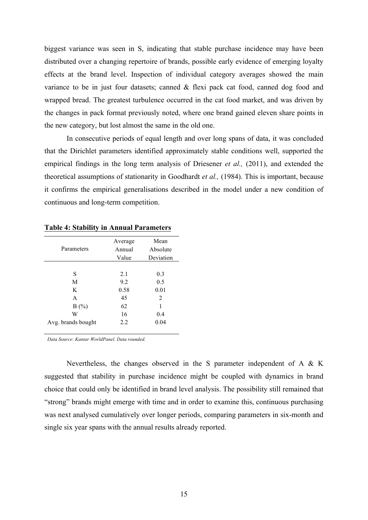biggest variance was seen in S, indicating that stable purchase incidence may have been distributed over a changing repertoire of brands, possible early evidence of emerging loyalty effects at the brand level. Inspection of individual category averages showed the main variance to be in just four datasets; canned & flexi pack cat food, canned dog food and wrapped bread. The greatest turbulence occurred in the cat food market, and was driven by the changes in pack format previously noted, where one brand gained eleven share points in the new category, but lost almost the same in the old one.

In consecutive periods of equal length and over long spans of data, it was concluded that the Dirichlet parameters identified approximately stable conditions well, supported the empirical findings in the long term analysis of Driesener *et al.,* (2011), and extended the theoretical assumptions of stationarity in Goodhardt *et al.,* (1984). This is important, because it confirms the empirical generalisations described in the model under a new condition of continuous and long-term competition.

|                    | Average | Mean<br>Absolute |  |  |
|--------------------|---------|------------------|--|--|
| Parameters         | Annual  |                  |  |  |
|                    | Value   | Deviation        |  |  |
|                    |         |                  |  |  |
| S                  | 2.1     | 0.3              |  |  |
| M                  | 9.2     | 0.5              |  |  |
| K                  | 0.58    | 0.01             |  |  |
| A                  | 45      | 2                |  |  |
| B(%)               | 62      | 1                |  |  |
| W                  | 16      | 0.4              |  |  |
| Avg. brands bought | 2.2     | 0.04             |  |  |
|                    |         |                  |  |  |

**Table 4: Stability in Annual Parameters** 

*Data Source: Kantar WorldPanel. Data rounded.*

Nevertheless, the changes observed in the S parameter independent of A & K suggested that stability in purchase incidence might be coupled with dynamics in brand choice that could only be identified in brand level analysis. The possibility still remained that "strong" brands might emerge with time and in order to examine this, continuous purchasing was next analysed cumulatively over longer periods, comparing parameters in six-month and single six year spans with the annual results already reported.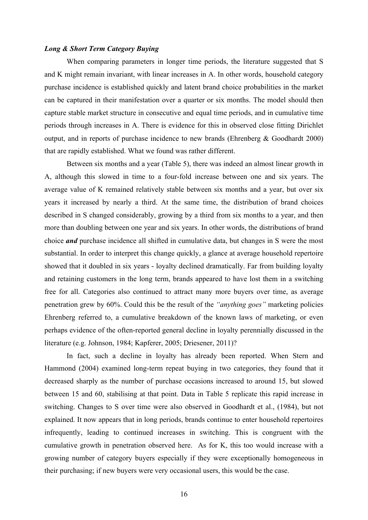#### *Long & Short Term Category Buying*

When comparing parameters in longer time periods, the literature suggested that S and K might remain invariant, with linear increases in A. In other words, household category purchase incidence is established quickly and latent brand choice probabilities in the market can be captured in their manifestation over a quarter or six months. The model should then capture stable market structure in consecutive and equal time periods, and in cumulative time periods through increases in A. There is evidence for this in observed close fitting Dirichlet output, and in reports of purchase incidence to new brands (Ehrenberg & Goodhardt 2000) that are rapidly established. What we found was rather different.

Between six months and a year (Table 5), there was indeed an almost linear growth in A, although this slowed in time to a four-fold increase between one and six years. The average value of K remained relatively stable between six months and a year, but over six years it increased by nearly a third. At the same time, the distribution of brand choices described in S changed considerably, growing by a third from six months to a year, and then more than doubling between one year and six years. In other words, the distributions of brand choice *and* purchase incidence all shifted in cumulative data, but changes in S were the most substantial. In order to interpret this change quickly, a glance at average household repertoire showed that it doubled in six years - loyalty declined dramatically. Far from building loyalty and retaining customers in the long term, brands appeared to have lost them in a switching free for all. Categories also continued to attract many more buyers over time, as average penetration grew by 60%. Could this be the result of the *"anything goes"* marketing policies Ehrenberg referred to, a cumulative breakdown of the known laws of marketing, or even perhaps evidence of the often-reported general decline in loyalty perennially discussed in the literature (e.g. Johnson, 1984; Kapferer, 2005; Driesener, 2011)?

In fact, such a decline in loyalty has already been reported. When Stern and Hammond (2004) examined long-term repeat buying in two categories, they found that it decreased sharply as the number of purchase occasions increased to around 15, but slowed between 15 and 60, stabilising at that point. Data in Table 5 replicate this rapid increase in switching. Changes to S over time were also observed in Goodhardt et al., (1984), but not explained. It now appears that in long periods, brands continue to enter household repertoires infrequently, leading to continued increases in switching. This is congruent with the cumulative growth in penetration observed here. As for K, this too would increase with a growing number of category buyers especially if they were exceptionally homogeneous in their purchasing; if new buyers were very occasional users, this would be the case.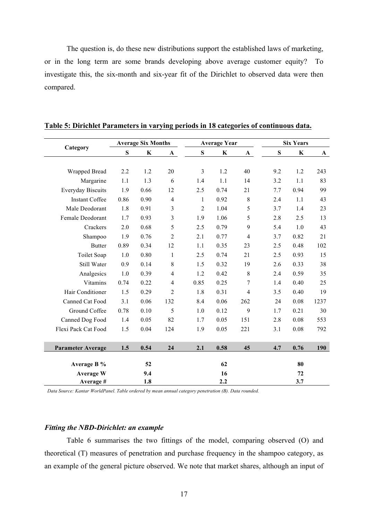The question is, do these new distributions support the established laws of marketing, or in the long term are some brands developing above average customer equity? To investigate this, the six-month and six-year fit of the Dirichlet to observed data were then compared.

|                          | <b>Average Six Months</b> |         |                |                | <b>Average Year</b> |                | <b>Six Years</b> |             |             |  |
|--------------------------|---------------------------|---------|----------------|----------------|---------------------|----------------|------------------|-------------|-------------|--|
| Category                 | S                         | $\bf K$ | $\mathbf{A}$   | ${\bf S}$      | K                   | $\mathbf A$    | S                | $\mathbf K$ | $\mathbf A$ |  |
|                          |                           |         |                |                |                     |                |                  |             |             |  |
| <b>Wrapped Bread</b>     | 2.2                       | 1.2     | 20             | 3              | 1.2                 | 40             | 9.2              | 1.2         | 243         |  |
| Margarine                | 1.1                       | 1.3     | 6              | 1.4            | 1.1                 | 14             | 3.2              | 1.1         | 83          |  |
| <b>Everyday Biscuits</b> | 1.9                       | 0.66    | 12             | 2.5            | 0.74                | 21             | 7.7              | 0.94        | 99          |  |
| <b>Instant Coffee</b>    | 0.86                      | 0.90    | $\overline{4}$ | 1              | 0.92                | $\,8\,$        | 2.4              | 1.1         | 43          |  |
| Male Deodorant           | 1.8                       | 0.91    | 3              | $\overline{2}$ | 1.04                | 5              | 3.7              | 1.4         | 23          |  |
| Female Deodorant         | 1.7                       | 0.93    | 3              | 1.9            | 1.06                | 5              | 2.8              | 2.5         | 13          |  |
| Crackers                 | 2.0                       | 0.68    | 5              | 2.5            | 0.79                | 9              | 5.4              | 1.0         | 43          |  |
| Shampoo                  | 1.9                       | 0.76    | $\overline{c}$ | 2.1            | 0.77                | $\overline{4}$ | 3.7              | 0.82        | 21          |  |
| <b>Butter</b>            | 0.89                      | 0.34    | 12             | 1.1            | 0.35                | 23             | 2.5              | 0.48        | 102         |  |
| Toilet Soap              | 1.0                       | 0.80    | 1              | 2.5            | 0.74                | 21             | 2.5              | 0.93        | 15          |  |
| Still Water              | 0.9                       | 0.14    | $\,8\,$        | 1.5            | 0.32                | 19             | 2.6              | 0.33        | 38          |  |
| Analgesics               | 1.0                       | 0.39    | $\overline{4}$ | 1.2            | 0.42                | 8              | 2.4              | 0.59        | 35          |  |
| Vitamins                 | 0.74                      | 0.22    | 4              | 0.85           | 0.25                | 7              | 1.4              | 0.40        | 25          |  |
| Hair Conditioner         | 1.5                       | 0.29    | $\overline{2}$ | 1.8            | 0.31                | $\overline{4}$ | 3.5              | 0.40        | 19          |  |
| Canned Cat Food          | 3.1                       | 0.06    | 132            | 8.4            | 0.06                | 262            | 24               | 0.08        | 1237        |  |
| Ground Coffee            | 0.78                      | 0.10    | 5              | 1.0            | 0.12                | 9              | 1.7              | 0.21        | 30          |  |
| Canned Dog Food          | 1.4                       | 0.05    | 82             | 1.7            | 0.05                | 151            | 2.8              | 0.08        | 553         |  |
| Flexi Pack Cat Food      | 1.5                       | 0.04    | 124            | 1.9            | 0.05                | 221            | 3.1              | 0.08        | 792         |  |
|                          |                           |         |                |                |                     |                |                  |             |             |  |
| Parameter Average        | 1.5                       | 0.54    | 24             | 2.1            | 0.58                | 45             | 4.7              | 0.76        | 190         |  |
|                          |                           |         |                |                |                     |                |                  |             |             |  |
| Average B %              |                           | 52      |                |                | 62                  |                |                  | 80          |             |  |
| <b>Average W</b>         |                           | 9.4     |                |                | 16                  |                |                  | 72          |             |  |
| Average #                |                           | 1.8     |                |                | 2.2                 |                |                  | 3.7         |             |  |

### **Table 5: Dirichlet Parameters in varying periods in 18 categories of continuous data.**

*Data Source: Kantar WorldPanel. Table ordered by mean annual category penetration (B). Data rounded.*

#### *Fitting the NBD-Dirichlet: an example*

Table 6 summarises the two fittings of the model, comparing observed (O) and theoretical (T) measures of penetration and purchase frequency in the shampoo category, as an example of the general picture observed. We note that market shares, although an input of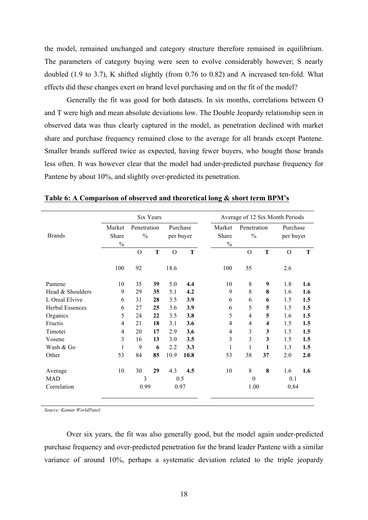the model, remained unchanged and category structure therefore remained in equilibrium. The parameters of category buying were seen to evolve considerably however; S nearly doubled (1.9 to 3.7), K shifted slightly (from 0.76 to 0.82) and A increased ten-fold. What effects did these changes exert on brand level purchasing and on the fit of the model?

Generally the fit was good for both datasets. In six months, correlations between O and T were high and mean absolute deviations low. The Double Jeopardy relationship seen in observed data was thus clearly captured in the model, as penetration declined with market share and purchase frequency remained close to the average for all brands except Pantene. Smaller brands suffered twice as expected, having fewer buyers, who bought those brands less often. It was however clear that the model had under-predicted purchase frequency for Pantene by about 10%, and slightly over-predicted its penetration.

|                        | Six Years               |                     |    |                       |      | Average of 12 Six Month Periods |                              |                         |                       |     |
|------------------------|-------------------------|---------------------|----|-----------------------|------|---------------------------------|------------------------------|-------------------------|-----------------------|-----|
| <b>Brands</b>          | Market<br>Share<br>$\%$ | Penetration<br>$\%$ |    | Purchase<br>per buyer |      | Market<br>Share<br>$\%$         | Penetration<br>$\frac{0}{0}$ |                         | Purchase<br>per buyer |     |
|                        |                         | $\Omega$            | T  | $\overline{O}$        | T    |                                 | $\Omega$                     | T                       | $\Omega$              | T   |
|                        | 100                     | 92                  |    | 18.6                  |      | 100                             | 55                           |                         | 2.6                   |     |
| Pantene                | 10                      | 35                  | 39 | 5.0                   | 4.4  | 10                              | 8                            | 9                       | 1.8                   | 1.6 |
| Head & Shoulders       | 9                       | 29                  | 35 | 5.1                   | 4.2  | 9                               | 8                            | 8                       | 1.6                   | 1.6 |
| L Oreal Elvive         | 6                       | 31                  | 28 | 3.5                   | 3.9  | 6                               | 6                            | 6                       | 1.5                   | 1.5 |
| <b>Herbal Essences</b> | 6                       | 27                  | 25 | 3.6                   | 3.9  | 6                               | 5                            | 5                       | 1.5                   | 1.5 |
| Organics               | 5                       | 24                  | 22 | 3.5                   | 3.8  | 5                               | $\overline{4}$               | 5                       | 1.6                   | 1.5 |
| Fructis                | 4                       | 21                  | 18 | 3.1                   | 3.6  | $\overline{4}$                  | $\overline{4}$               | $\overline{\mathbf{4}}$ | 1.5                   | 1.5 |
| Timotei                | 4                       | 20                  | 17 | 2.9                   | 3.6  | $\overline{4}$                  | $\overline{3}$               | 3                       | 1.5                   | 1.5 |
| Vosene                 | 3                       | 16                  | 13 | 3.0                   | 3.5  | 3                               | $\overline{3}$               | 3                       | 1.5                   | 1.5 |
| Wash & Go              | $\mathbf{1}$            | 9                   | 6  | 2.2                   | 3.3  | 1                               | 1                            | 1                       | 1.3                   | 1.5 |
| Other                  | 53                      | 84                  | 85 | 10.9                  | 10.8 | 53                              | 38                           | 37                      | 2.0                   | 2.0 |
| Average                | 10                      | 30                  | 29 | 4.3                   | 4.5  | 10                              | 8                            | 8                       | 1.6                   | 1.6 |
| <b>MAD</b>             |                         | 3                   |    | 0.5                   |      |                                 | $\boldsymbol{0}$             |                         | 0.1                   |     |
| Correlation            |                         | 0.99                |    |                       | 0.97 |                                 | 1.00                         |                         | 0.84                  |     |

**Table 6: A Comparison of observed and theoretical long & short term BPM's**

*Source: Kantar WorldPanel*

Over six years, the fit was also generally good, but the model again under-predicted purchase frequency and over-predicted penetration for the brand leader Pantene with a similar variance of around 10%, perhaps a systematic deviation related to the triple jeopardy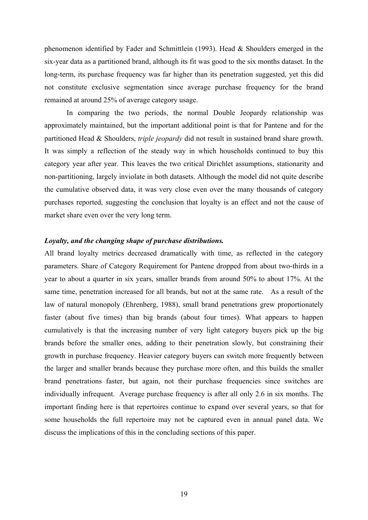phenomenon identified by Fader and Schmittlein (1993). Head & Shoulders emerged in the six-year data as a partitioned brand, although its fit was good to the six months dataset. In the long-term, its purchase frequency was far higher than its penetration suggested, yet this did not constitute exclusive segmentation since average purchase frequency for the brand remained at around 25% of average category usage.

In comparing the two periods, the normal Double Jeopardy relationship was approximately maintained, but the important additional point is that for Pantene and for the partitioned Head & Shoulders, *triple jeopardy* did not result in sustained brand share growth. It was simply a reflection of the steady way in which households continued to buy this category year after year. This leaves the two critical Dirichlet assumptions, stationarity and non-partitioning, largely inviolate in both datasets. Although the model did not quite describe the cumulative observed data, it was very close even over the many thousands of category purchases reported, suggesting the conclusion that loyalty is an effect and not the cause of market share even over the very long term.

### *Loyalty, and the changing shape of purchase distributions.*

All brand loyalty metrics decreased dramatically with time, as reflected in the category parameters. Share of Category Requirement for Pantene dropped from about two-thirds in a year to about a quarter in six years, smaller brands from around 50% to about 17%. At the same time, penetration increased for all brands, but not at the same rate. As a result of the law of natural monopoly (Ehrenberg, 1988), small brand penetrations grew proportionately faster (about five times) than big brands (about four times). What appears to happen cumulatively is that the increasing number of very light category buyers pick up the big brands before the smaller ones, adding to their penetration slowly, but constraining their growth in purchase frequency. Heavier category buyers can switch more frequently between the larger and smaller brands because they purchase more often, and this builds the smaller brand penetrations faster, but again, not their purchase frequencies since switches are individually infrequent. Average purchase frequency is after all only 2.6 in six months. The important finding here is that repertoires continue to expand over several years, so that for some households the full repertoire may not be captured even in annual panel data. We discuss the implications of this in the concluding sections of this paper.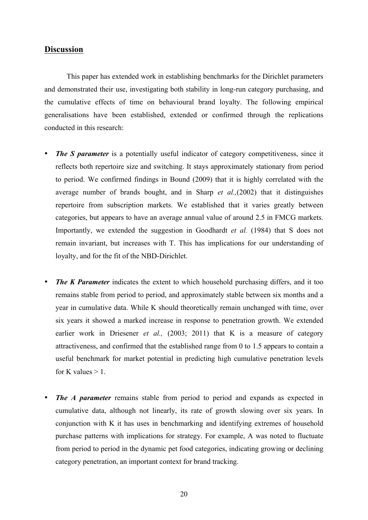### **Discussion**

This paper has extended work in establishing benchmarks for the Dirichlet parameters and demonstrated their use, investigating both stability in long-run category purchasing, and the cumulative effects of time on behavioural brand loyalty. The following empirical generalisations have been established, extended or confirmed through the replications conducted in this research:

- *The S parameter* is a potentially useful indicator of category competitiveness, since it reflects both repertoire size and switching. It stays approximately stationary from period to period. We confirmed findings in Bound (2009) that it is highly correlated with the average number of brands bought, and in Sharp *et al.,*(2002) that it distinguishes repertoire from subscription markets. We established that it varies greatly between categories, but appears to have an average annual value of around 2.5 in FMCG markets. Importantly, we extended the suggestion in Goodhardt *et al.* (1984) that S does not remain invariant, but increases with T. This has implications for our understanding of loyalty, and for the fit of the NBD-Dirichlet.
- *The K Parameter* indicates the extent to which household purchasing differs, and it too remains stable from period to period, and approximately stable between six months and a year in cumulative data. While K should theoretically remain unchanged with time, over six years it showed a marked increase in response to penetration growth. We extended earlier work in Driesener *et al.*, (2003; 2011) that K is a measure of category attractiveness, and confirmed that the established range from 0 to 1.5 appears to contain a useful benchmark for market potential in predicting high cumulative penetration levels for K values  $> 1$ .
- *The A parameter* remains stable from period to period and expands as expected in cumulative data, although not linearly, its rate of growth slowing over six years. In conjunction with K it has uses in benchmarking and identifying extremes of household purchase patterns with implications for strategy. For example, A was noted to fluctuate from period to period in the dynamic pet food categories, indicating growing or declining category penetration, an important context for brand tracking.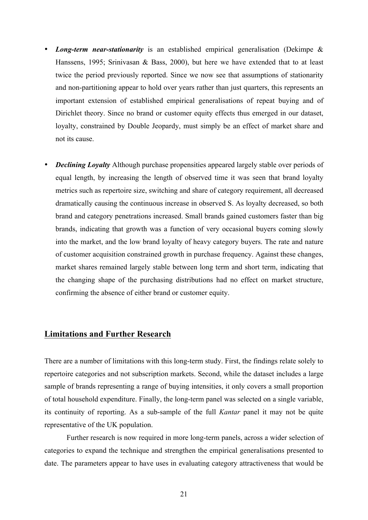- *Long-term near-stationarity* is an established empirical generalisation (Dekimpe & Hanssens, 1995; Srinivasan & Bass, 2000), but here we have extended that to at least twice the period previously reported. Since we now see that assumptions of stationarity and non-partitioning appear to hold over years rather than just quarters, this represents an important extension of established empirical generalisations of repeat buying and of Dirichlet theory. Since no brand or customer equity effects thus emerged in our dataset, loyalty, constrained by Double Jeopardy, must simply be an effect of market share and not its cause.
- *Declining Loyalty* Although purchase propensities appeared largely stable over periods of equal length, by increasing the length of observed time it was seen that brand loyalty metrics such as repertoire size, switching and share of category requirement, all decreased dramatically causing the continuous increase in observed S. As loyalty decreased, so both brand and category penetrations increased. Small brands gained customers faster than big brands, indicating that growth was a function of very occasional buyers coming slowly into the market, and the low brand loyalty of heavy category buyers. The rate and nature of customer acquisition constrained growth in purchase frequency. Against these changes, market shares remained largely stable between long term and short term, indicating that the changing shape of the purchasing distributions had no effect on market structure, confirming the absence of either brand or customer equity.

### **Limitations and Further Research**

There are a number of limitations with this long-term study. First, the findings relate solely to repertoire categories and not subscription markets. Second, while the dataset includes a large sample of brands representing a range of buying intensities, it only covers a small proportion of total household expenditure. Finally, the long-term panel was selected on a single variable, its continuity of reporting. As a sub-sample of the full *Kantar* panel it may not be quite representative of the UK population.

Further research is now required in more long-term panels, across a wider selection of categories to expand the technique and strengthen the empirical generalisations presented to date. The parameters appear to have uses in evaluating category attractiveness that would be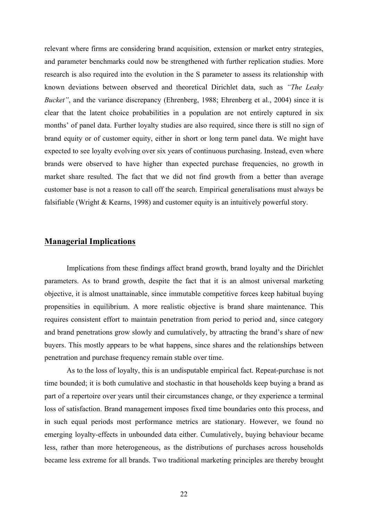relevant where firms are considering brand acquisition, extension or market entry strategies, and parameter benchmarks could now be strengthened with further replication studies. More research is also required into the evolution in the S parameter to assess its relationship with known deviations between observed and theoretical Dirichlet data, such as *"The Leaky Bucket"*, and the variance discrepancy (Ehrenberg, 1988; Ehrenberg et al., 2004) since it is clear that the latent choice probabilities in a population are not entirely captured in six months' of panel data. Further loyalty studies are also required, since there is still no sign of brand equity or of customer equity, either in short or long term panel data. We might have expected to see loyalty evolving over six years of continuous purchasing. Instead, even where brands were observed to have higher than expected purchase frequencies, no growth in market share resulted. The fact that we did not find growth from a better than average customer base is not a reason to call off the search. Empirical generalisations must always be falsifiable (Wright & Kearns, 1998) and customer equity is an intuitively powerful story.

### **Managerial Implications**

Implications from these findings affect brand growth, brand loyalty and the Dirichlet parameters. As to brand growth, despite the fact that it is an almost universal marketing objective, it is almost unattainable, since immutable competitive forces keep habitual buying propensities in equilibrium. A more realistic objective is brand share maintenance. This requires consistent effort to maintain penetration from period to period and, since category and brand penetrations grow slowly and cumulatively, by attracting the brand's share of new buyers. This mostly appears to be what happens, since shares and the relationships between penetration and purchase frequency remain stable over time.

As to the loss of loyalty, this is an undisputable empirical fact. Repeat-purchase is not time bounded; it is both cumulative and stochastic in that households keep buying a brand as part of a repertoire over years until their circumstances change, or they experience a terminal loss of satisfaction. Brand management imposes fixed time boundaries onto this process, and in such equal periods most performance metrics are stationary. However, we found no emerging loyalty-effects in unbounded data either. Cumulatively, buying behaviour became less, rather than more heterogeneous, as the distributions of purchases across households became less extreme for all brands. Two traditional marketing principles are thereby brought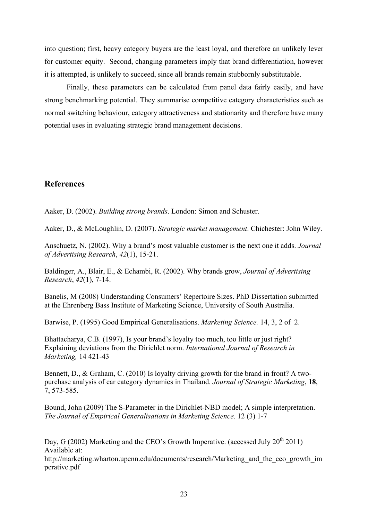into question; first, heavy category buyers are the least loyal, and therefore an unlikely lever for customer equity. Second, changing parameters imply that brand differentiation, however it is attempted, is unlikely to succeed, since all brands remain stubbornly substitutable.

Finally, these parameters can be calculated from panel data fairly easily, and have strong benchmarking potential. They summarise competitive category characteristics such as normal switching behaviour, category attractiveness and stationarity and therefore have many potential uses in evaluating strategic brand management decisions.

# **References**

Aaker, D. (2002). *Building strong brands*. London: Simon and Schuster.

Aaker, D., & McLoughlin, D. (2007). *Strategic market management*. Chichester: John Wiley.

Anschuetz, N. (2002). Why a brand's most valuable customer is the next one it adds. *Journal of Advertising Research*, *42*(1), 15-21.

Baldinger, A., Blair, E., & Echambi, R. (2002). Why brands grow, *Journal of Advertising Research*, *42*(1), 7-14.

Banelis, M (2008) Understanding Consumers' Repertoire Sizes. PhD Dissertation submitted at the Ehrenberg Bass Institute of Marketing Science, University of South Australia.

Barwise, P. (1995) Good Empirical Generalisations. *Marketing Science.* 14, 3, 2 of 2.

Bhattacharya, C.B. (1997), Is your brand's loyalty too much, too little or just right? Explaining deviations from the Dirichlet norm. *International Journal of Research in Marketing,* 14 421-43

Bennett, D., & Graham, C. (2010) Is loyalty driving growth for the brand in front? A twopurchase analysis of car category dynamics in Thailand. *Journal of Strategic Marketing*, **18**, 7, 573-585.

Bound, John (2009) The S-Parameter in the Dirichlet-NBD model; A simple interpretation. *The Journal of Empirical Generalisations in Marketing Science*. 12 (3) 1-7

Day, G (2002) Marketing and the CEO's Growth Imperative. (accessed July  $20^{th}$  2011) Available at:

http://marketing.wharton.upenn.edu/documents/research/Marketing\_and\_the\_ceo\_growth\_im perative.pdf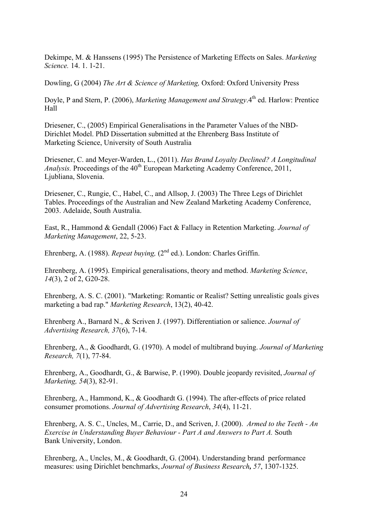Dekimpe, M. & Hanssens (1995) The Persistence of Marketing Effects on Sales. *Marketing Science.* 14. 1. 1-21.

Dowling, G (2004) *The Art & Science of Marketing,* Oxford: Oxford University Press

Doyle, P and Stern, P. (2006), *Marketing Management and Strategy*.<sup>4th</sup> ed. Harlow: Prentice Hall

Driesener, C., (2005) Empirical Generalisations in the Parameter Values of the NBD-Dirichlet Model. PhD Dissertation submitted at the Ehrenberg Bass Institute of Marketing Science, University of South Australia

Driesener, C. and Meyer-Warden, L., (2011). *Has Brand Loyalty Declined? A Longitudinal Analysis.* Proceedings of the 40<sup>th</sup> European Marketing Academy Conference, 2011, Ljubliana, Slovenia.

Driesener, C., Rungie, C., Habel, C., and Allsop, J. (2003) The Three Legs of Dirichlet Tables. Proceedings of the Australian and New Zealand Marketing Academy Conference, 2003. Adelaide, South Australia.

East, R., Hammond & Gendall (2006) Fact & Fallacy in Retention Marketing. *Journal of Marketing Management*, 22, 5-23.

Ehrenberg, A. (1988). *Repeat buying*, (2<sup>nd</sup> ed.). London: Charles Griffin.

Ehrenberg, A. (1995). Empirical generalisations, theory and method. *Marketing Science*, *14*(3), 2 of 2, G20-28.

Ehrenberg, A. S. C. (2001). "Marketing: Romantic or Realist? Setting unrealistic goals gives marketing a bad rap." *Marketing Research*, 13(2), 40-42.

Ehrenberg A., Barnard N., & Scriven J. (1997). Differentiation or salience. *Journal of Advertising Research, 37*(6), 7-14.

Ehrenberg, A., & Goodhardt, G. (1970). A model of multibrand buying. *Journal of Marketing Research, 7*(1), 77-84.

Ehrenberg, A., Goodhardt, G., & Barwise, P. (1990). Double jeopardy revisited, *Journal of Marketing, 54*(3), 82-91.

Ehrenberg, A., Hammond, K., & Goodhardt G. (1994). The after-effects of price related consumer promotions. *Journal of Advertising Research*, *34*(4), 11-21.

Ehrenberg, A. S. C., Uncles, M., Carrie, D., and Scriven, J. (2000). *Armed to the Teeth - An Exercise in Understanding Buyer Behaviour - Part A and Answers to Part A.* South Bank University, London.

Ehrenberg, A., Uncles, M., & Goodhardt, G. (2004). Understanding brand performance measures: using Dirichlet benchmarks, *Journal of Business Research, 57*, 1307-1325.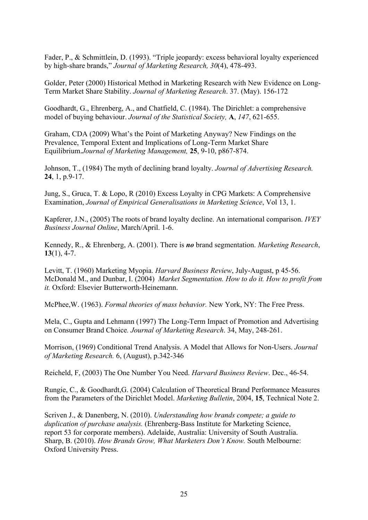Fader, P., & Schmittlein, D. (1993). "Triple jeopardy: excess behavioral loyalty experienced by high-share brands," *Journal of Marketing Research, 30*(4), 478-493.

Golder, Peter (2000) Historical Method in Marketing Research with New Evidence on Long-Term Market Share Stability. *Journal of Marketing Research*. 37. (May). 156-172

Goodhardt, G., Ehrenberg, A., and Chatfield, C. (1984). The Dirichlet: a comprehensive model of buying behaviour. *Journal of the Statistical Society,* **A**, *147*, 621-655.

Graham, CDA (2009) What's the Point of Marketing Anyway? New Findings on the Prevalence, Temporal Extent and Implications of Long-Term Market Share Equilibrium.*Journal of Marketing Management,* **25**, 9-10, p867-874.

Johnson, T., (1984) The myth of declining brand loyalty. *Journal of Advertising Research.* **24**, 1, p.9-17.

Jung, S., Gruca, T. & Lopo, R (2010) Excess Loyalty in CPG Markets: A Comprehensive Examination, *Journal of Empirical Generalisations in Marketing Science*, Vol 13, 1.

Kapferer, J.N., (2005) The roots of brand loyalty decline. An international comparison. *IVEY Business Journal Online*, March/April. 1-6.

Kennedy, R., & Ehrenberg, A. (2001). There is *no* brand segmentation. *Marketing Research*, **13**(1), 4-7.

Levitt, T. (1960) Marketing Myopia. *Harvard Business Review*, July-August, p 45-56. McDonald M., and Dunbar, I. (2004) *Market Segmentation. How to do it. How to profit from it.* Oxford: Elsevier Butterworth-Heinemann.

McPhee,W. (1963). *Formal theories of mass behavior.* New York, NY: The Free Press.

Mela, C., Gupta and Lehmann (1997) The Long-Term Impact of Promotion and Advertising on Consumer Brand Choice*. Journal of Marketing Research*. 34, May, 248-261.

Morrison, (1969) Conditional Trend Analysis. A Model that Allows for Non-Users. *Journal of Marketing Research.* 6, (August), p.342-346

Reicheld, F, (2003) The One Number You Need. *Harvard Business Review*. Dec., 46-54.

Rungie, C., & Goodhardt,G. (2004) Calculation of Theoretical Brand Performance Measures from the Parameters of the Dirichlet Model. *Marketing Bulletin*, 2004, **15**, Technical Note 2.

Scriven J., & Danenberg, N. (2010). *Understanding how brands compete; a guide to duplication of purchase analysis.* (Ehrenberg-Bass Institute for Marketing Science, report 53 for corporate members). Adelaide, Australia: University of South Australia. Sharp, B. (2010). *How Brands Grow, What Marketers Don't Know.* South Melbourne: Oxford University Press.